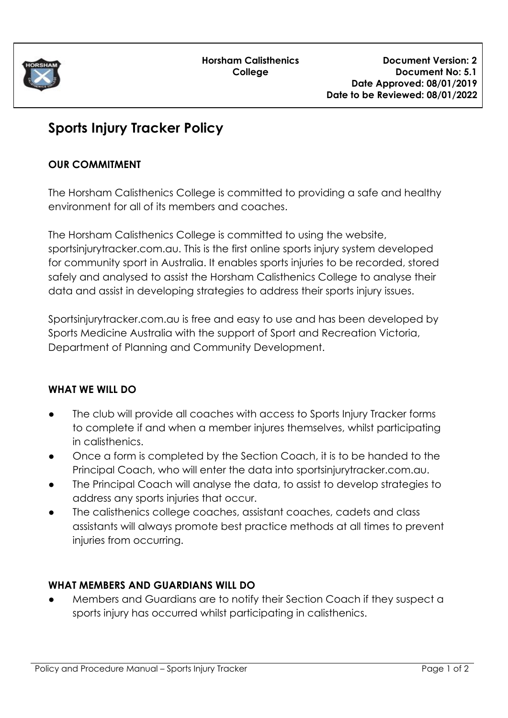

# **Sports Injury Tracker Policy**

## **OUR COMMITMENT**

The Horsham Calisthenics College is committed to providing a safe and healthy environment for all of its members and coaches.

The Horsham Calisthenics College is committed to using the website, sportsinjurytracker.com.au. This is the first online sports injury system developed for community sport in Australia. It enables sports injuries to be recorded, stored safely and analysed to assist the Horsham Calisthenics College to analyse their data and assist in developing strategies to address their sports injury issues.

Sportsinjurytracker.com.au is free and easy to use and has been developed by Sports Medicine Australia with the support of Sport and Recreation Victoria, Department of Planning and Community Development.

## **WHAT WE WILL DO**

- The club will provide all coaches with access to Sports Injury Tracker forms to complete if and when a member injures themselves, whilst participating in calisthenics.
- Once a form is completed by the Section Coach, it is to be handed to the Principal Coach, who will enter the data into sportsinjurytracker.com.au.
- The Principal Coach will analyse the data, to assist to develop strategies to address any sports injuries that occur.
- The calisthenics college coaches, assistant coaches, cadets and class assistants will always promote best practice methods at all times to prevent injuries from occurring.

#### **WHAT MEMBERS AND GUARDIANS WILL DO**

Members and Guardians are to notify their Section Coach if they suspect a sports injury has occurred whilst participating in calisthenics.